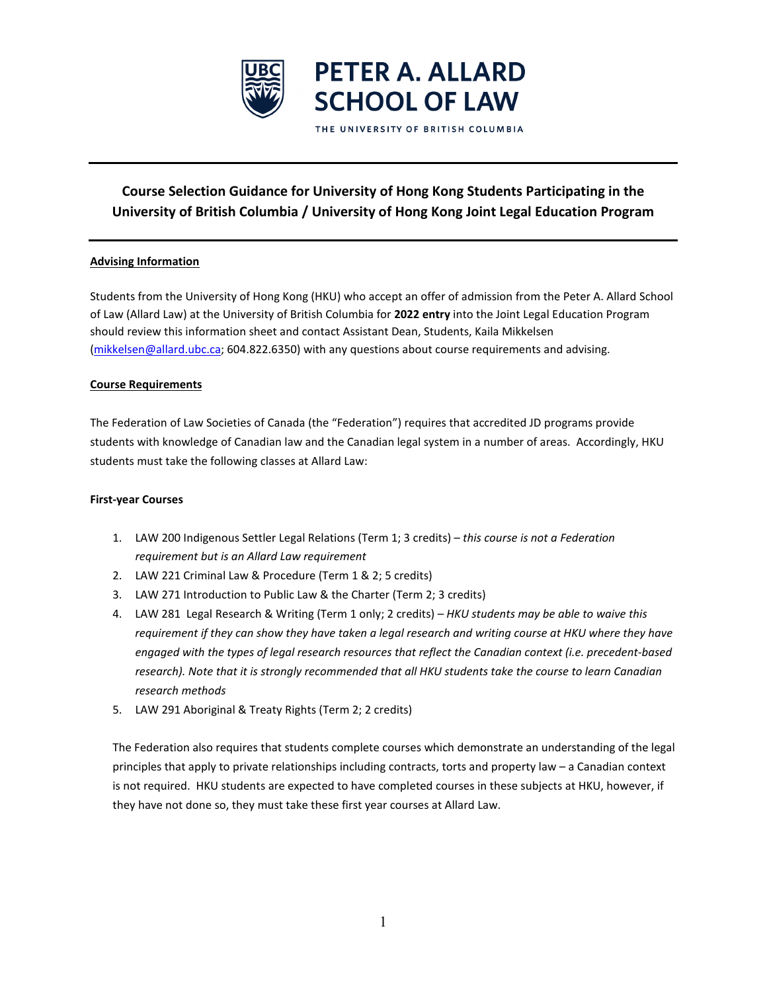

# **Course Selection Guidance for University of Hong Kong Students Participating in the University of British Columbia / University of Hong Kong Joint Legal Education Program**

## **Advising Information**

Students from the University of Hong Kong (HKU) who accept an offer of admission from the Peter A. Allard School of Law (Allard Law) at the University of British Columbia for **2022 entry** into the Joint Legal Education Program should review this information sheet and contact Assistant Dean, Students, Kaila Mikkelsen [\(mikkelsen@allard.ubc.ca;](mailto:mikkelsen@allard.ubc.ca) 604.822.6350) with any questions about course requirements and advising.

#### **Course Requirements**

The Federation of Law Societies of Canada (the "Federation") requires that accredited JD programs provide students with knowledge of Canadian law and the Canadian legal system in a number of areas. Accordingly, HKU students must take the following classes at Allard Law:

### **First-year Courses**

- 1. LAW 200 Indigenous Settler Legal Relations (Term 1; 3 credits) *this course is not a Federation requirement but is an Allard Law requirement*
- 2. LAW 221 Criminal Law & Procedure (Term 1 & 2; 5 credits)
- 3. LAW 271 Introduction to Public Law & the Charter (Term 2; 3 credits)
- 4. LAW 281 Legal Research & Writing (Term 1 only; 2 credits) *HKU students may be able to waive this requirement if they can show they have taken a legal research and writing course at HKU where they have engaged with the types of legal research resources that reflect the Canadian context (i.e. precedent-based research). Note that it is strongly recommended that all HKU students take the course to learn Canadian research methods*
- 5. LAW 291 Aboriginal & Treaty Rights (Term 2; 2 credits)

The Federation also requires that students complete courses which demonstrate an understanding of the legal principles that apply to private relationships including contracts, torts and property law – a Canadian context is not required. HKU students are expected to have completed courses in these subjects at HKU, however, if they have not done so, they must take these first year courses at Allard Law.